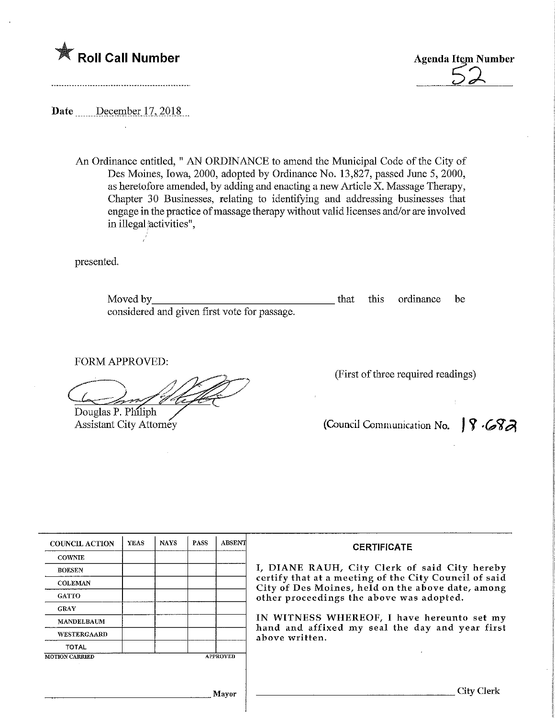



Date December 17, 2018

----------------------------------

Ź

An Ordinance entitled, " AN ORDINANCE to amend the Municipal Code of the City of Des Moines, Iowa, 2000, adopted by Ordinance No. 13,827, passed June 5, 2000, as heretofore amended, by adding and enacting a new Article X. Massage Therapy, Chapter 30 Businesses, relating to identifying and addressing businesses that engage in the practice of massage therapy without valid licenses aad/or are involved in illegal activities",

presented.

Moved by considered and given first vote for passage. that this ordinance be

FORM APPROVED:

Douglas P. Philiph

Assistant City Attorney

(First of three required readings)

(Council Communication No.  $\int \int \sqrt{S} \cdot S$ 

 $\pm$ 

| <b>COUNCIL ACTION</b> | <b>YEAS</b> | <b>NAYS</b> | <b>PASS</b> | <b>ABSENT</b>   | <b>CERTIFICATE</b>                                                                                                                                                                                      |  |  |
|-----------------------|-------------|-------------|-------------|-----------------|---------------------------------------------------------------------------------------------------------------------------------------------------------------------------------------------------------|--|--|
| <b>COWNIE</b>         |             |             |             |                 |                                                                                                                                                                                                         |  |  |
| <b>BOESEN</b>         |             |             |             |                 | I, DIANE RAUH, City Clerk of said City hereby<br>certify that at a meeting of the City Council of said<br>City of Des Moines, held on the above date, among<br>other proceedings the above was adopted. |  |  |
| <b>COLEMAN</b>        |             |             |             |                 |                                                                                                                                                                                                         |  |  |
| <b>GATTO</b>          |             |             |             |                 |                                                                                                                                                                                                         |  |  |
| <b>GRAY</b>           |             |             |             |                 |                                                                                                                                                                                                         |  |  |
| <b>MANDELBAUM</b>     |             |             |             |                 | IN WITNESS WHEREOF, I have hereunto set my<br>hand and affixed my seal the day and year first<br>above written.                                                                                         |  |  |
| WESTERGAARD           |             |             |             |                 |                                                                                                                                                                                                         |  |  |
| <b>TOTAL</b>          |             |             |             |                 |                                                                                                                                                                                                         |  |  |
| <b>MOTION CARRIED</b> |             |             |             | <b>APPROVED</b> |                                                                                                                                                                                                         |  |  |
|                       |             |             |             |                 | City Clerk                                                                                                                                                                                              |  |  |
|                       |             |             |             | Mayor           |                                                                                                                                                                                                         |  |  |
|                       |             |             |             |                 |                                                                                                                                                                                                         |  |  |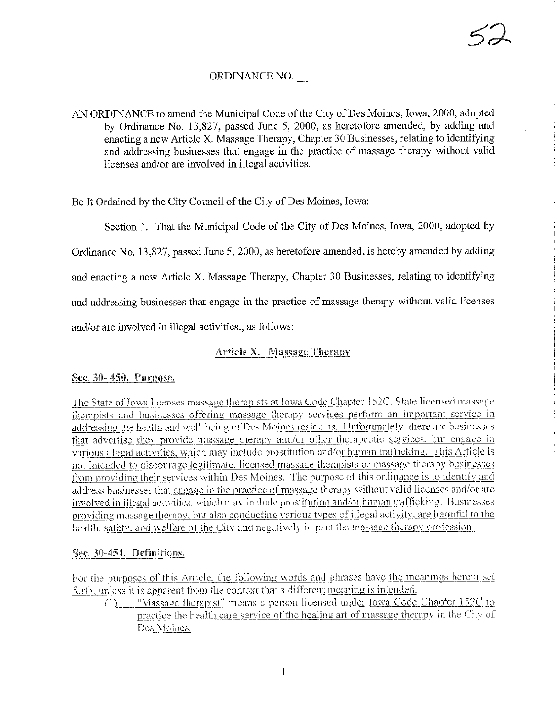# ORDINANCE NO.

AN ORDINANCE to amend the Municipal Code of the City of Des Moines, Iowa, 2000, adopted by Ordinance No. 13,827, passed June 5, 2000, as heretofore amended, by adding and enacting a new Article X. Massage Therapy, Chapter 30 Businesses, relating to identifying and addressing businesses that engage in the practice of massage therapy without valid licenses and/or are involved in illegal activities.

Be It Ordained by the City Council of the City of Des Moines, Iowa:

Section 1. That the Municipal Code of the City of Des Moines, Iowa, 2000, adopted by

Ordinance No. 13.827, passed June 5, 2000, as heretofore amended, is hereby amended by adding

and enacting a new Article X. Massage Therapy, Chapter 30 Businesses, relating to identifying

and addressing businesses that engage in the practice of massage therapy without valid licenses

and/or are involved in illegal activities., as follows:

## **Article X. Massage Therapy**

Sec. 30-450. Purpose.

The State of Iowa licenses massage therapists at Iowa Code Chapter 152C. State licensed massage therapists and businesses offering massage therapy services perform an important service in addressing the health and well-being of Des Moines residents. Unfortunately, there are businesses that advertise they provide massage therapy and/or other therapeutic services, but engage in various illegal activities, which may include prostitution and/or human trafficking. This Article is not intended to discourage legitimate, licensed massage therapists or massage therapy businesses from providing their services within Des Moines. The purpose of this ordinance is to identify and address businesses that engage in the practice of massage therapy without valid licenses and/or are involved in illegal activities, which may include prostitution and/or human trafficking. Businesses providing massage therapy, but also conducting various types of illegal activity, are harmful to the health, safety, and welfare of the City and negatively impact the massage therapy profession.

## Sec. 30-451. Definitions.

For the purposes of this Article, the following words and phrases have the meanings herein set forth, unless it is apparent from the context that a different meaning is intended.

"Massage therapist" means a person licensed under Iowa Code Chapter 152C to  $(1)$ practice the health care service of the healing art of massage therapy in the City of Des Moines.